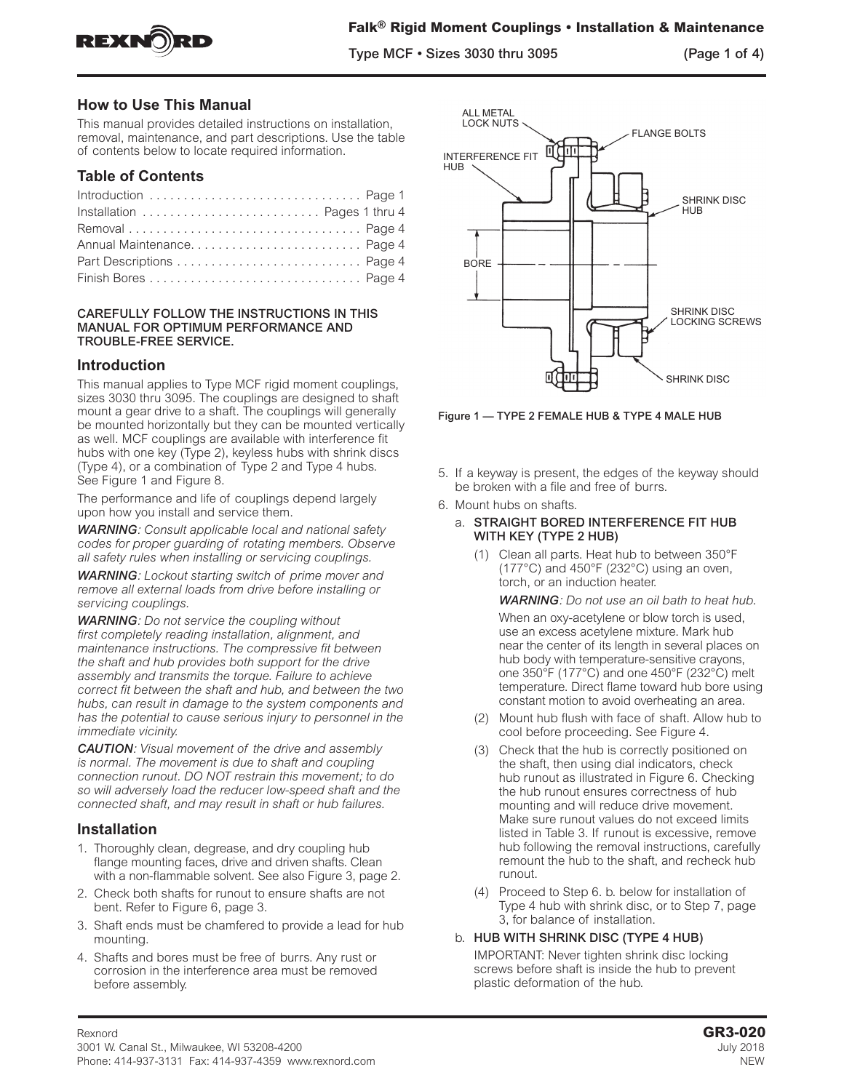

Type MCF • Sizes 3030 thru 3095 (Page 1 of 4)

# **How to Use This Manual**

This manual provides detailed instructions on installation, removal, maintenance, and part descriptions. Use the table of contents below to locate required information.

# **Table of Contents**

| Introduction  Page 1         |  |
|------------------------------|--|
| Installation  Pages 1 thru 4 |  |
|                              |  |
|                              |  |
|                              |  |
|                              |  |

#### CAREFULLY FOLLOW THE INSTRUCTIONS IN THIS MANUAL FOR OPTIMUM PERFORMANCE AND TROUBLE-FREE SERVICE.

# **Introduction**

This manual applies to Type MCF rigid moment couplings, sizes 3030 thru 3095. The couplings are designed to shaft mount a gear drive to a shaft. The couplings will generally be mounted horizontally but they can be mounted vertically as well. MCF couplings are available with interference fit hubs with one key (Type 2), keyless hubs with shrink discs (Type 4), or a combination of Type 2 and Type 4 hubs. See Figure 1 and Figure 8.

The performance and life of couplings depend largely upon how you install and service them.

*WARNING: Consult applicable local and national safety codes for proper guarding of rotating members. Observe all safety rules when installing or servicing couplings.*

*WARNING: Lockout starting switch of prime mover and remove all external loads from drive before installing or servicing couplings.* 

*WARNING: Do not service the coupling without first completely reading installation, alignment, and maintenance instructions. The compressive fit between the shaft and hub provides both support for the drive assembly and transmits the torque. Failure to achieve correct fit between the shaft and hub, and between the two hubs, can result in damage to the system components and has the potential to cause serious injury to personnel in the immediate vicinity.*

*CAUTION: Visual movement of the drive and assembly is normal. The movement is due to shaft and coupling connection runout. DO NOT restrain this movement; to do so will adversely load the reducer low-speed shaft and the connected shaft, and may result in shaft or hub failures.*

# **Installation**

- 1. Thoroughly clean, degrease, and dry coupling hub flange mounting faces, drive and driven shafts. Clean with a non-flammable solvent. See also Figure 3, page 2.
- 2. Check both shafts for runout to ensure shafts are not bent. Refer to Figure 6, page 3.
- 3. Shaft ends must be chamfered to provide a lead for hub mounting.
- 4. Shafts and bores must be free of burrs. Any rust or corrosion in the interference area must be removed before assembly.



Figure 1 — TYPE 2 FEMALE HUB & TYPE 4 MALE HUB

- 5. If a keyway is present, the edges of the keyway should be broken with a file and free of burrs.
- 6. Mount hubs on shafts.
	- a. STRAIGHT BORED INTERFERENCE FIT HUB WITH KEY (TYPE 2 HUB)
		- (1) Clean all parts. Heat hub to between 350°F (177°C) and 450°F (232°C) using an oven, torch, or an induction heater.

*WARNING: Do not use an oil bath to heat hub.*

When an oxy-acetylene or blow torch is used, use an excess acetylene mixture. Mark hub near the center of its length in several places on hub body with temperature-sensitive crayons, one 350°F (177°C) and one 450°F (232°C) melt temperature. Direct flame toward hub bore using constant motion to avoid overheating an area.

- (2) Mount hub flush with face of shaft. Allow hub to cool before proceeding. See Figure 4.
- (3) Check that the hub is correctly positioned on the shaft, then using dial indicators, check hub runout as illustrated in Figure 6. Checking the hub runout ensures correctness of hub mounting and will reduce drive movement. Make sure runout values do not exceed limits listed in Table 3. If runout is excessive, remove hub following the removal instructions, carefully remount the hub to the shaft, and recheck hub runout.
- (4) Proceed to Step 6. b. below for installation of Type 4 hub with shrink disc, or to Step 7, page 3, for balance of installation.

### b. HUB WITH SHRINK DISC (TYPE 4 HUB)

IMPORTANT: Never tighten shrink disc locking screws before shaft is inside the hub to prevent plastic deformation of the hub.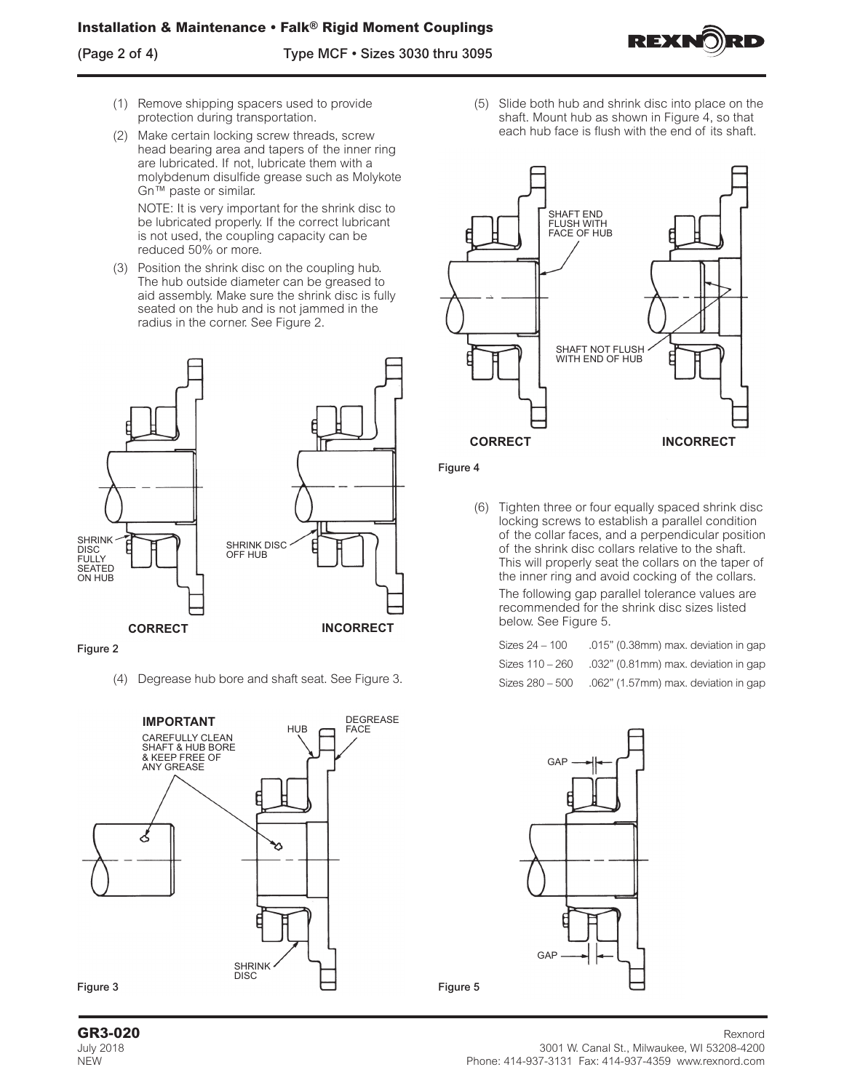(Page 2 of 4) Type MCF • Sizes 3030 thru 3095



- (1) Remove shipping spacers used to provide protection during transportation.
- (2) Make certain locking screw threads, screw head bearing area and tapers of the inner ring are lubricated. If not, lubricate them with a molybdenum disulfide grease such as Molykote Gn™ paste or similar.

NOTE: It is very important for the shrink disc to be lubricated properly. If the correct lubricant is not used, the coupling capacity can be reduced 50% or more.

(3) Position the shrink disc on the coupling hub. The hub outside diameter can be greased to aid assembly. Make sure the shrink disc is fully seated on the hub and is not jammed in the radius in the corner. See Figure 2.



#### Figure 2

(4) Degrease hub bore and shaft seat. See Figure 3.



(5) Slide both hub and shrink disc into place on the shaft. Mount hub as shown in Figure 4, so that each hub face is flush with the end of its shaft.



#### Figure 4

Figure 5

(6) Tighten three or four equally spaced shrink disc locking screws to establish a parallel condition of the collar faces, and a perpendicular position of the shrink disc collars relative to the shaft. This will properly seat the collars on the taper of the inner ring and avoid cocking of the collars. The following gap parallel tolerance values are recommended for the shrink disc sizes listed below. See Figure 5.

| Sizes 24 - 100  | .015" (0.38mm) max. deviation in gap |
|-----------------|--------------------------------------|
| Sizes 110 – 260 | .032" (0.81mm) max. deviation in gap |
| Sizes 280 - 500 | .062" (1.57mm) max. deviation in gap |



#### **GR3-020** Rexnord July 2018 3001 W. Canal St., Milwaukee, WI 53208-4200 NEW Phone: 414-937-3131 Fax: 414-937-4359 www.rexnord.com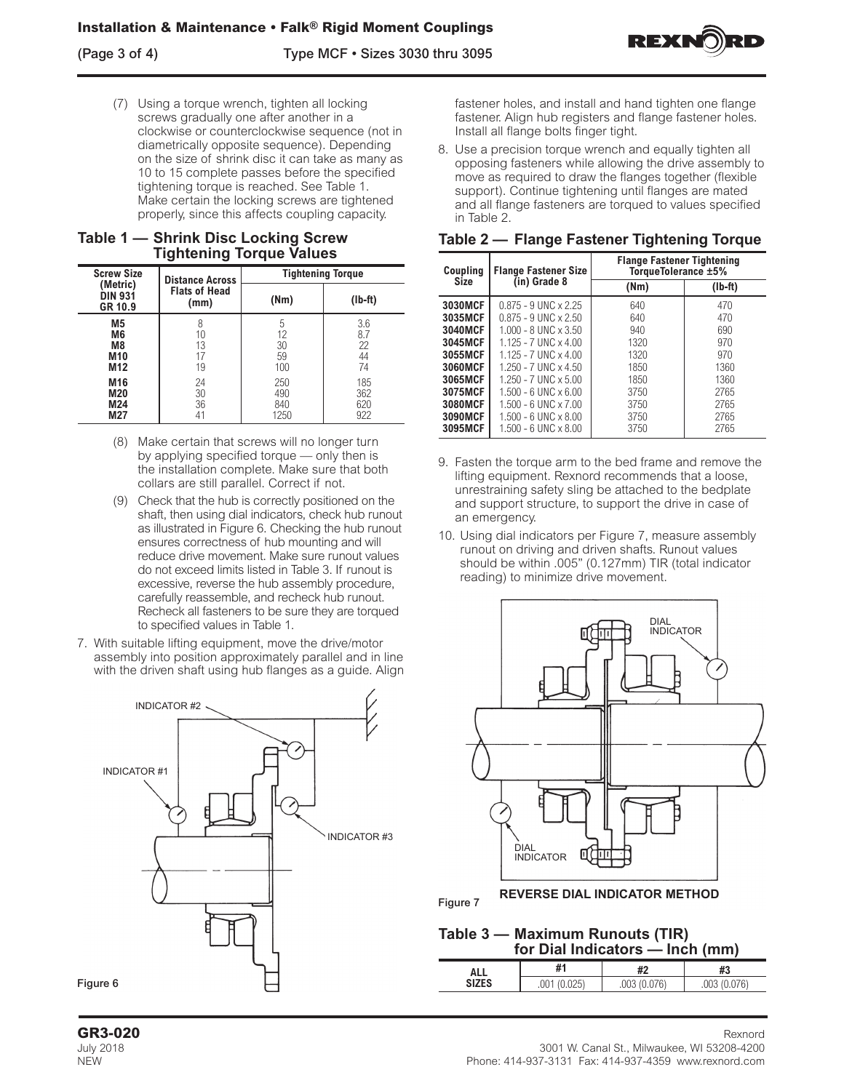

(7) Using a torque wrench, tighten all locking screws gradually one after another in a clockwise or counterclockwise sequence (not in diametrically opposite sequence). Depending on the size of shrink disc it can take as many as 10 to 15 complete passes before the specified tightening torque is reached. See Table 1. Make certain the locking screws are tightened properly, since this affects coupling capacity.

# **Table 1 — Shrink Disc Locking Screw Tightening Torque Values**

| <b>Screw Size</b>                     | <b>Distance Across</b>       |      | <b>Tightening Torque</b> |
|---------------------------------------|------------------------------|------|--------------------------|
| (Metric)<br><b>DIN 931</b><br>GR 10.9 | <b>Flats of Head</b><br>(mm) | (Nm) | $(lb-ft)$                |
| M <sub>5</sub>                        | 8                            | 5    | 3.6                      |
| M <sub>6</sub>                        | 10                           | 12   | 8.7                      |
| M <sub>8</sub>                        | 13                           | 30   | 22                       |
| M <sub>10</sub>                       | 17                           | 59   | 44                       |
| M12                                   | 19                           | 100  | 74                       |
| M16                                   | 24                           | 250  | 185                      |
| M20                                   | 30                           | 490  | 362                      |
| M24                                   | 36                           | 840  | 620                      |
| M27                                   | 41                           | 1250 | 922                      |

- (8) Make certain that screws will no longer turn by applying specified torque — only then is the installation complete. Make sure that both collars are still parallel. Correct if not.
- (9) Check that the hub is correctly positioned on the shaft, then using dial indicators, check hub runout as illustrated in Figure 6. Checking the hub runout ensures correctness of hub mounting and will reduce drive movement. Make sure runout values do not exceed limits listed in Table 3. If runout is excessive, reverse the hub assembly procedure, carefully reassemble, and recheck hub runout. Recheck all fasteners to be sure they are torqued to specified values in Table 1.
- 7. With suitable lifting equipment, move the drive/motor assembly into position approximately parallel and in line with the driven shaft using hub flanges as a guide. Align



fastener holes, and install and hand tighten one flange fastener. Align hub registers and flange fastener holes. Install all flange bolts finger tight.

8. Use a precision torque wrench and equally tighten all opposing fasteners while allowing the drive assembly to move as required to draw the flanges together (flexible support). Continue tightening until flanges are mated and all flange fasteners are torqued to values specified in Table 2.

|  |  | Table 2 — Flange Fastener Tightening Torque |  |
|--|--|---------------------------------------------|--|
|  |  |                                             |  |

| Coupling             | <b>Flange Fastener Size</b>   | <b>Flange Fastener Tightening</b><br>TorqueTolerance ±5% |         |  |
|----------------------|-------------------------------|----------------------------------------------------------|---------|--|
| (in) Grade 8<br>Size |                               | (Nm)                                                     | (lb-ft) |  |
| 3030MCF              | $0.875 - 9$ UNC $\times$ 2.25 | 640                                                      | 470     |  |
| 3035MCF              | $0.875 - 9$ UNC $\times$ 2.50 | 640                                                      | 470     |  |
| 3040MCF              | $1.000 - 8$ UNC $\times$ 3.50 | 940                                                      | 690     |  |
| 3045MCF              | $1125 - 7$ UNC $\times$ 4 00  | 1320                                                     | 970     |  |
| 3055MCF              | $1.125 - 7$ UNC $\times$ 4.00 | 1320                                                     | 970     |  |
| 3060MCF              | $1.250 - 7$ UNC $\times$ 4.50 | 1850                                                     | 1360    |  |
| 3065MCF              | $1.250 - 7$ UNC $\times$ 5.00 | 1850                                                     | 1360    |  |
| 3075MCF              | $1.500 - 6$ UNC $\times$ 6.00 | 3750                                                     | 2765    |  |
| 3080MCF              | $1.500 - 6$ UNC $\times$ 7.00 | 3750                                                     | 2765    |  |
| 3090MCF              | $1.500 - 6$ UNC $\times$ 8.00 | 3750                                                     | 2765    |  |
| 3095MCF              | 1.500 - 6 UNC x 8.00          | 3750                                                     | 2765    |  |

- 9. Fasten the torque arm to the bed frame and remove the lifting equipment. Rexnord recommends that a loose, unrestraining safety sling be attached to the bedplate and support structure, to support the drive in case of an emergency.
- 10. Using dial indicators per Figure 7, measure assembly runout on driving and driven shafts. Runout values should be within .005" (0.127mm) TIR (total indicator reading) to minimize drive movement.



# **Table 3 — Maximum Runouts (TIR)**

| for Dial Indicators — Inch (mm) |              |             |             |
|---------------------------------|--------------|-------------|-------------|
| ALL                             | #1           | #2          | #3          |
| <b>SIZES</b>                    | .001 (0.025) | .003(0.076) | .003(0.076) |